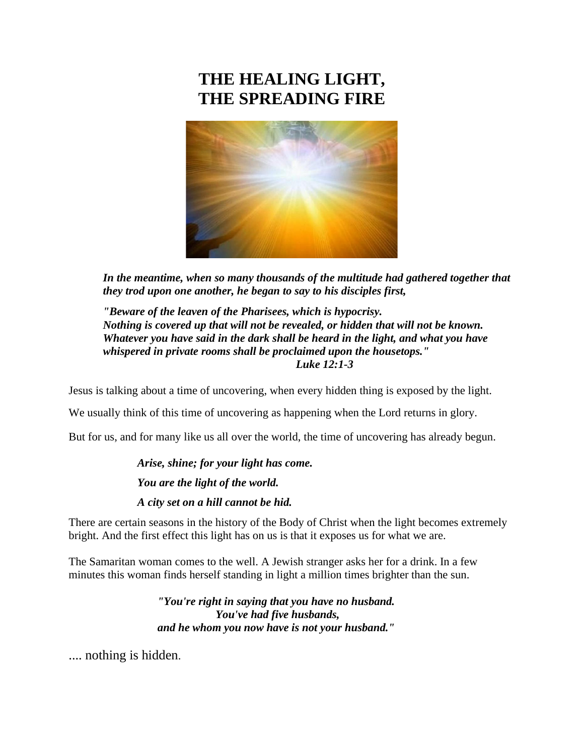# **THE HEALING LIGHT, THE SPREADING FIRE**



*In the meantime, when so many thousands of the multitude had gathered together that they trod upon one another, he began to say to his disciples first,*

*"Beware of the leaven of the Pharisees, which is hypocrisy. Nothing is covered up that will not be revealed, or hidden that will not be known. Whatever you have said in the dark shall be heard in the light, and what you have whispered in private rooms shall be proclaimed upon the housetops." Luke 12:1-3*

Jesus is talking about a time of uncovering, when every hidden thing is exposed by the light.

We usually think of this time of uncovering as happening when the Lord returns in glory.

But for us, and for many like us all over the world, the time of uncovering has already begun.

*Arise, shine; for your light has come. You are the light of the world. A city set on a hill cannot be hid.*

There are certain seasons in the history of the Body of Christ when the light becomes extremely bright. And the first effect this light has on us is that it exposes us for what we are.

The Samaritan woman comes to the well. A Jewish stranger asks her for a drink. In a few minutes this woman finds herself standing in light a million times brighter than the sun.

> *"You're right in saying that you have no husband. You've had five husbands, and he whom you now have is not your husband."*

.... nothing is hidden.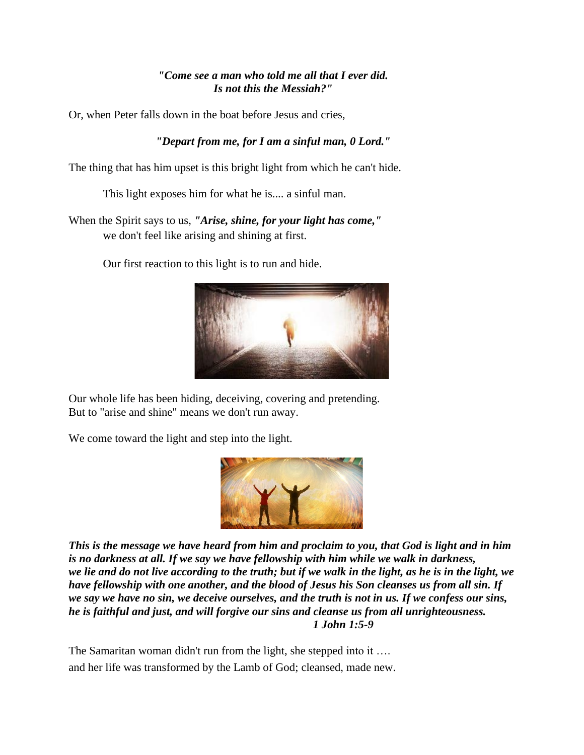## *"Come see a man who told me all that I ever did. Is not this the Messiah?"*

Or, when Peter falls down in the boat before Jesus and cries,

# *"Depart from me, for I am a sinful man, 0 Lord."*

The thing that has him upset is this bright light from which he can't hide.

This light exposes him for what he is.... a sinful man.

When the Spirit says to us, *"Arise, shine, for your light has come,"* we don't feel like arising and shining at first.

Our first reaction to this light is to run and hide.



Our whole life has been hiding, deceiving, covering and pretending. But to "arise and shine" means we don't run away.

We come toward the light and step into the light.



*This is the message we have heard from him and proclaim to you, that God is light and in him is no darkness at all. If we say we have fellowship with him while we walk in darkness, we lie and do not live according to the truth; but if we walk in the light, as he is in the light, we have fellowship with one another, and the blood of Jesus his Son cleanses us from all sin. If we say we have no sin, we deceive ourselves, and the truth is not in us. If we confess our sins, he is faithful and just, and will forgive our sins and cleanse us from all unrighteousness. 1 John 1:5-9*

The Samaritan woman didn't run from the light, she stepped into it .... and her life was transformed by the Lamb of God; cleansed, made new.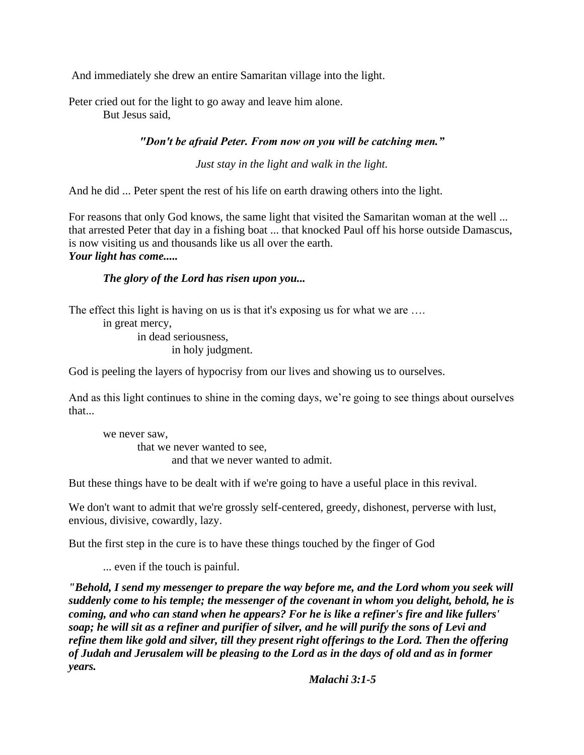And immediately she drew an entire Samaritan village into the light.

Peter cried out for the light to go away and leave him alone. But Jesus said,

## *"Don't be afraid Peter. From now on you will be catching men."*

*Just stay in the light and walk in the light.*

And he did ... Peter spent the rest of his life on earth drawing others into the light.

For reasons that only God knows, the same light that visited the Samaritan woman at the well ... that arrested Peter that day in a fishing boat ... that knocked Paul off his horse outside Damascus, is now visiting us and thousands like us all over the earth. *Your light has come.....*

# *The glory of the Lord has risen upon you...*

The effect this light is having on us is that it's exposing us for what we are ....

in great mercy, in dead seriousness, in holy judgment.

God is peeling the layers of hypocrisy from our lives and showing us to ourselves.

And as this light continues to shine in the coming days, we're going to see things about ourselves that...

we never saw, that we never wanted to see, and that we never wanted to admit.

But these things have to be dealt with if we're going to have a useful place in this revival.

We don't want to admit that we're grossly self-centered, greedy, dishonest, perverse with lust, envious, divisive, cowardly, lazy.

But the first step in the cure is to have these things touched by the finger of God

... even if the touch is painful.

*"Behold, I send my messenger to prepare the way before me, and the Lord whom you seek will suddenly come to his temple; the messenger of the covenant in whom you delight, behold, he is coming, and who can stand when he appears? For he is like a refiner's fire and like fullers' soap; he will sit as a refiner and purifier of silver, and he will purify the sons of Levi and refine them like gold and silver, till they present right offerings to the Lord. Then the offering of Judah and Jerusalem will be pleasing to the Lord as in the days of old and as in former years.*

*Malachi 3:1-5*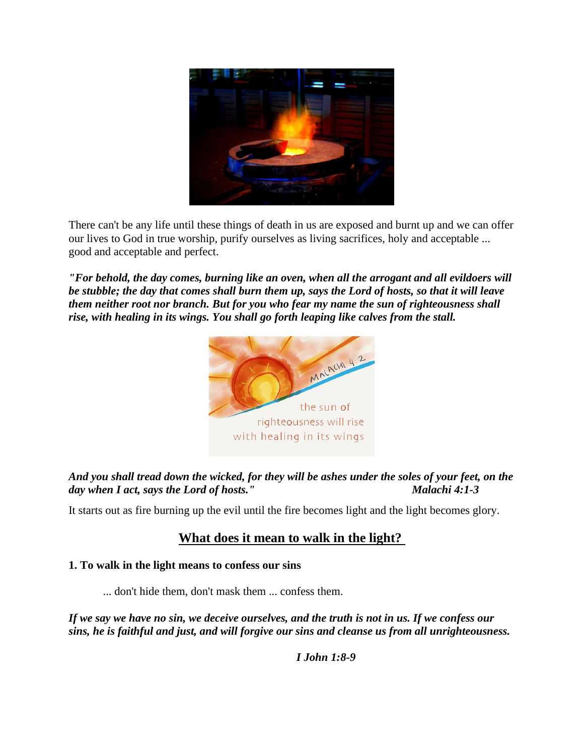

There can't be any life until these things of death in us are exposed and burnt up and we can offer our lives to God in true worship, purify ourselves as living sacrifices, holy and acceptable ... good and acceptable and perfect.

*"For behold, the day comes, burning like an oven, when all the arrogant and all evildoers will be stubble; the day that comes shall burn them up, says the Lord of hosts, so that it will leave them neither root nor branch. But for you who fear my name the sun of righteousness shall rise, with healing in its wings. You shall go forth leaping like calves from the stall.*



# *And you shall tread down the wicked, for they will be ashes under the soles of your feet, on the day when I act, says the Lord of hosts." Malachi 4:1-3*

It starts out as fire burning up the evil until the fire becomes light and the light becomes glory.

# **What does it mean to walk in the light?**

#### **1. To walk in the light means to confess our sins**

... don't hide them, don't mask them ... confess them.

*If we say we have no sin, we deceive ourselves, and the truth is not in us. If we confess our sins, he is faithful and just, and will forgive our sins and cleanse us from all unrighteousness.*

*I John 1:8-9*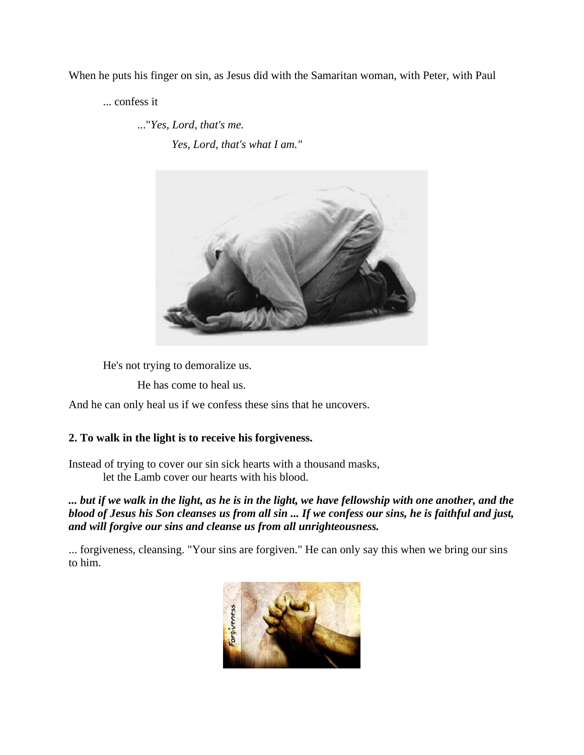When he puts his finger on sin, as Jesus did with the Samaritan woman, with Peter, with Paul

... confess it

..."*Yes, Lord, that's me.*

*Yes, Lord, that's what I am."*



He's not trying to demoralize us.

He has come to heal us.

And he can only heal us if we confess these sins that he uncovers.

## **2. To walk in the light is to receive his forgiveness.**

Instead of trying to cover our sin sick hearts with a thousand masks, let the Lamb cover our hearts with his blood.

*... but if we walk in the light, as he is in the light, we have fellowship with one another, and the blood of Jesus his Son cleanses us from all sin ... If we confess our sins, he is faithful and just, and will forgive our sins and cleanse us from all unrighteousness.*

... forgiveness, cleansing. "Your sins are forgiven." He can only say this when we bring our sins to him.

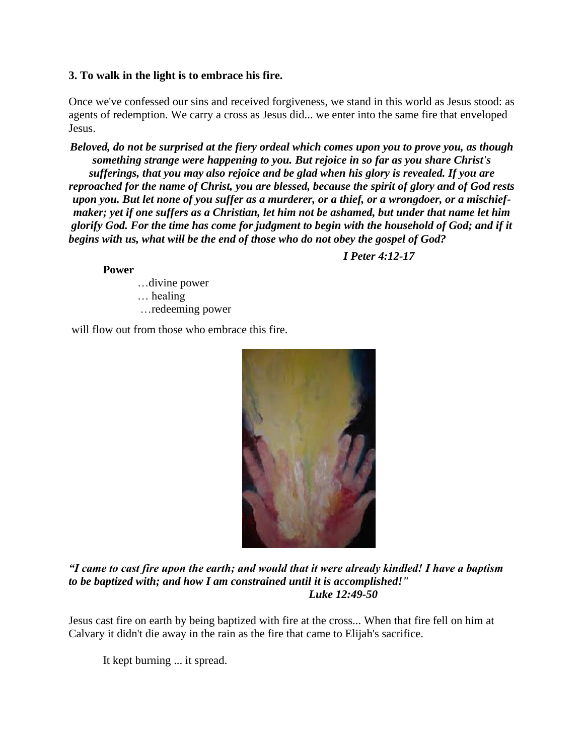#### **3. To walk in the light is to embrace his fire.**

Once we've confessed our sins and received forgiveness, we stand in this world as Jesus stood: as agents of redemption. We carry a cross as Jesus did... we enter into the same fire that enveloped Jesus.

*Beloved, do not be surprised at the fiery ordeal which comes upon you to prove you, as though something strange were happening to you. But rejoice in so far as you share Christ's sufferings, that you may also rejoice and be glad when his glory is revealed. If you are reproached for the name of Christ, you are blessed, because the spirit of glory and of God rests upon you. But let none of you suffer as a murderer, or a thief, or a wrongdoer, or a mischiefmaker; yet if one suffers as a Christian, let him not be ashamed, but under that name let him glorify God. For the time has come for judgment to begin with the household of God; and if it begins with us, what will be the end of those who do not obey the gospel of God?*

*I Peter 4:12-17*

**Power**

…divine power … healing …redeeming power

will flow out from those who embrace this fire.



*"I came to cast fire upon the earth; and would that it were already kindled! I have a baptism to be baptized with; and how I am constrained until it is accomplished!" Luke 12:49-50*

Jesus cast fire on earth by being baptized with fire at the cross... When that fire fell on him at Calvary it didn't die away in the rain as the fire that came to Elijah's sacrifice.

It kept burning ... it spread.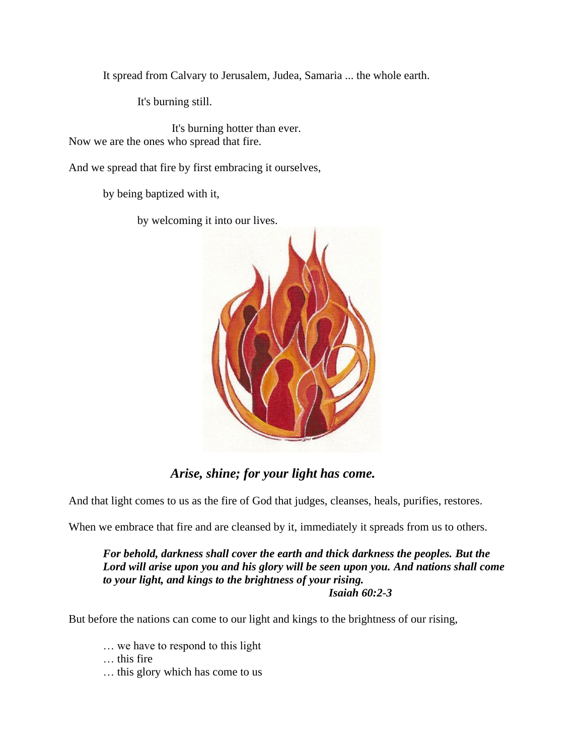It spread from Calvary to Jerusalem, Judea, Samaria ... the whole earth.

It's burning still.

It's burning hotter than ever. Now we are the ones who spread that fire.

And we spread that fire by first embracing it ourselves,

by being baptized with it,

by welcoming it into our lives.



# *Arise, shine; for your light has come.*

And that light comes to us as the fire of God that judges, cleanses, heals, purifies, restores.

When we embrace that fire and are cleansed by it, immediately it spreads from us to others.

*For behold, darkness shall cover the earth and thick darkness the peoples. But the Lord will arise upon you and his glory will be seen upon you. And nations shall come to your light, and kings to the brightness of your rising. Isaiah 60:2-3*

But before the nations can come to our light and kings to the brightness of our rising,

… we have to respond to this light

… this fire

… this glory which has come to us